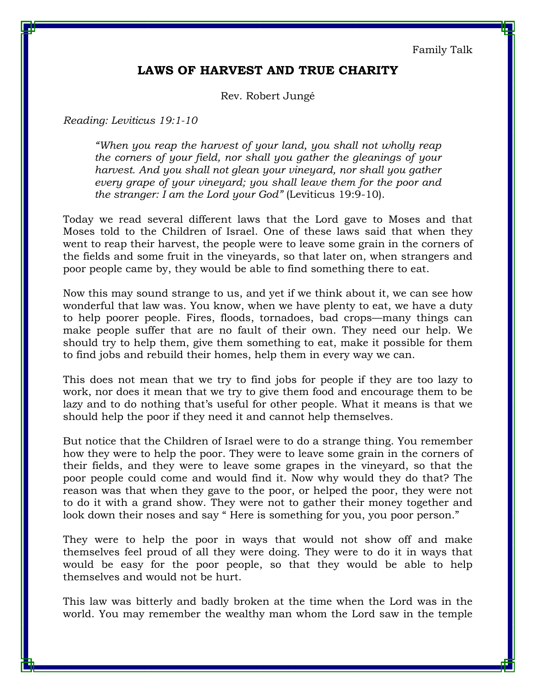Family Talk

## **LAWS OF HARVEST AND TRUE CHARITY**

Rev. Robert Jungé

*Reading: Leviticus 19:1-10* 

*"When you reap the harvest of your land, you shall not wholly reap the corners of your field, nor shall you gather the gleanings of your harvest. And you shall not glean your vineyard, nor shall you gather every grape of your vineyard; you shall leave them for the poor and the stranger: I am the Lord your God"* (Leviticus 19:9-10).

Today we read several different laws that the Lord gave to Moses and that Moses told to the Children of Israel. One of these laws said that when they went to reap their harvest, the people were to leave some grain in the corners of the fields and some fruit in the vineyards, so that later on, when strangers and poor people came by, they would be able to find something there to eat.

Now this may sound strange to us, and yet if we think about it, we can see how wonderful that law was. You know, when we have plenty to eat, we have a duty to help poorer people. Fires, floods, tornadoes, bad crops—many things can make people suffer that are no fault of their own. They need our help. We should try to help them, give them something to eat, make it possible for them to find jobs and rebuild their homes, help them in every way we can.

This does not mean that we try to find jobs for people if they are too lazy to work, nor does it mean that we try to give them food and encourage them to be lazy and to do nothing that's useful for other people. What it means is that we should help the poor if they need it and cannot help themselves.

But notice that the Children of Israel were to do a strange thing. You remember how they were to help the poor. They were to leave some grain in the corners of their fields, and they were to leave some grapes in the vineyard, so that the poor people could come and would find it. Now why would they do that? The reason was that when they gave to the poor, or helped the poor, they were not to do it with a grand show. They were not to gather their money together and look down their noses and say "Here is something for you, you poor person."

They were to help the poor in ways that would not show off and make themselves feel proud of all they were doing. They were to do it in ways that would be easy for the poor people, so that they would be able to help themselves and would not be hurt.

This law was bitterly and badly broken at the time when the Lord was in the world. You may remember the wealthy man whom the Lord saw in the temple